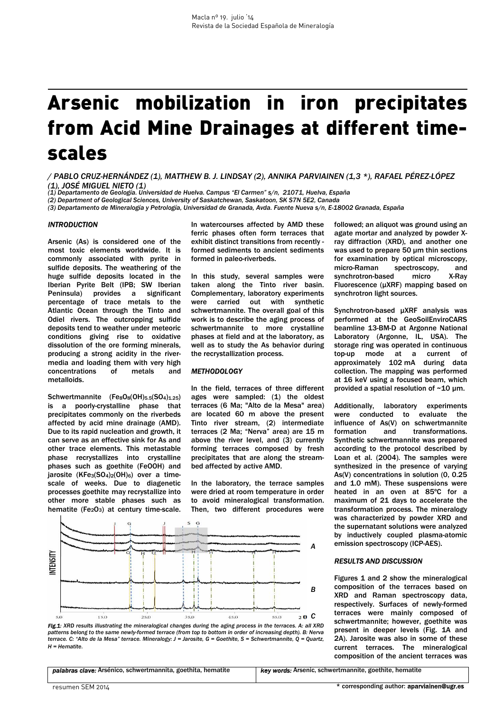# Arsenic mobilization in iron precipitates from Acid Mine Drainages at different timescales

*/ PABLO CRUZ-HERNÁNDEZ (1), MATTHEW B. J. LINDSAY (2), ANNIKA PARVIAINEN (1,3 \*), RAFAEL PÉREZ-LÓPEZ (1), JOSÉ MIGUEL NIETO (1) (1) Departamento de Geología. Universidad de Huelva. Campus "El Carmen" s/n, 21071, Huelva, España*

*(2) Department of Geological Sciences, University of Saskatchewan, Saskatoon, SK S7N 5E2, Canada* 

*(3) Departamento de Mineralogía y Petrología, Universidad de Granada, Avda. Fuente Nueva s/n, E-18002 Granada, España*

## *INTRODUCTION*

Arsenic (As) is considered one of the most toxic elements worldwide. It is commonly associated with pyrite in sulfide deposits. The weathering of the huge sulfide deposits located in the Iberian Pyrite Belt (IPB; SW Iberian Peninsula) provides a significant percentage of trace metals to the Atlantic Ocean through the Tinto and Odiel rivers. The outcropping sulfide deposits tend to weather under meteoric conditions giving rise to oxidative dissolution of the ore forming minerals, producing a strong acidity in the rivermedia and loading them with very high<br>concentrations of metals and concentrations of metals and metalloids.

Schwertmannite (FesOs(OH)5.5(SO4)1.25) is a poorly-crystalline phase that precipitates commonly on the riverbeds affected by acid mine drainage (AMD). Due to its rapid nucleation and growth, it can serve as an effective sink for As and other trace elements. This metastable phase recrystallizes into crystalline phases such as goethite (FeOOH) and jarosite  $(KFe<sub>3</sub>(SO<sub>4</sub>)<sub>2</sub>(OH)<sub>6</sub>)$  over a timescale of weeks. Due to diagenetic processes goethite may recrystallize into other more stable phases such as hematite (Fe $2O_3$ ) at century time-scale.

In watercourses affected by AMD these ferric phases often form terraces that exhibit distinct transitions from recently formed sediments to ancient sediments formed in paleo-riverbeds.

In this study, several samples were taken along the Tinto river basin. Complementary, laboratory experiments were carried out with synthetic schwertmannite. The overall goal of this work is to describe the aging process of schwertmannite to more crystalline phases at field and at the laboratory, as well as to study the As behavior during the recrystallization process.

## *METHODOLOGY*

In the field, terraces of three different ages were sampled: (1) the oldest terraces (6 Ma; "Alto de la Mesa" area) are located 60 m above the present Tinto river stream, (2) intermediate terraces (2 Ma; "Nerva" area) are 15 m above the river level, and (3) currently forming terraces composed by fresh precipitates that are along the streambed affected by active AMD.

In the laboratory, the terrace samples were dried at room temperature in order to avoid mineralogical transformation. Then, two different procedures were



*Fig.1: XRD results illustrating the mineralogical changes during the aging process in the terraces. A: all XRD*  patterns belong to the same newly-formed terrace (from top to bottom in order of increasing depth). B: Nerva<br>terrace. C: "Alto de la Mesa" terrace. Mineralogy: J = Jarosite, G = Goethite, S = Schwertmannite, Q = Quartz, *H = Hematite.* 

*palabras clave:* Arsénico, schwertmannita, goethita, hematite *key words:* Arsenic, schwertmannite, goethite, hematite

followed; an aliquot was ground using an agate mortar and analyzed by powder Xray diffraction (XRD), and another one was used to prepare 50 um thin sections for examination by optical microscopy, micro-Raman spectroscopy, and synchrotron-based micro X-Ray Fluorescence (µXRF) mapping based on synchrotron light sources.

Synchrotron-based µXRF analysis was performed at the GeoSoilEnviroCARS beamline 13-BM-D at Argonne National Laboratory (Argonne, IL, USA). The storage ring was operated in continuous top-up mode at a current of approximately 102 mA during data collection. The mapping was performed at 16 keV using a focused beam, which provided a spatial resolution of ~10 µm.

Additionally, laboratory experiments were conducted to evaluate the influence of As(V) on schwertmannite formation and transformations. Synthetic schwertmannite was prepared according to the protocol described by Loan et al. (2004). The samples were synthesized in the presence of varying As(V) concentrations in solution (0, 0.25 and 1.0 mM). These suspensions were heated in an oven at 85ºC for a maximum of 21 days to accelerate the transformation process. The mineralogy was characterized by powder XRD and the supernatant solutions were analyzed by inductively coupled plasma-atomic emission spectroscopy (ICP-AES).

## *RESULTS AND DISCUSSION*

Figures 1 and 2 show the mineralogical composition of the terraces based on XRD and Raman spectroscopy data, respectively. Surfaces of newly-formed terraces were mainly composed of schwertmannite; however, goethite was present in deeper levels (Fig. 1A and 2A). Jarosite was also in some of these current terraces. The mineralogical composition of the ancient terraces was